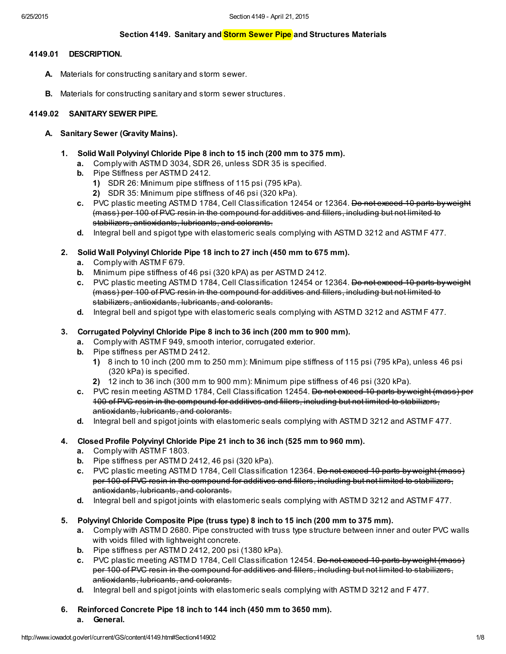## Section 4149. Sanitary and **Storm Sewer Pipe** and Structures Materials

## 4149.01 DESCRIPTION.

- A. Materials for constructing sanitary and storm sewer.
- **B.** Materials for constructing sanitary and storm sewer structures.

## 4149.02 SANITARY SEWER PIPE.

#### A. Sanitary Sewer (Gravity Mains).

- 1. Solid Wall Polyvinyl Chloride Pipe 8 inch to 15 inch (200 mm to 375 mm).
	- a. Comply with ASTM D 3034, SDR 26, unless SDR 35 is specified.
	- b. Pipe Stiffness per ASTM D 2412.
		- 1) SDR 26: Minimum pipe stiffness of 115 psi (795 kPa).
		- 2) SDR 35: Minimum pipe stiffness of 46 psi (320 kPa).
	- c. PVC plastic meeting ASTM D 1784, Cell Classification 12454 or 12364. Bo not exceed 10 parts by weight (mass) per 100 of PVC resin in the compound for additives and fillers, including but not limited to stabilizers, antioxidants, lubricants, and colorants.
	- d. Integral bell and spigot type with elastomeric seals complying with ASTM D 3212 and ASTM F 477.

## 2. Solid Wall Polyvinyl Chloride Pipe 18 inch to 27 inch (450 mm to 675 mm).

- a. Comply with ASTM F 679.
- b. Minimum pipe stiffness of 46 psi (320 kPA) as per ASTM D 2412.
- c. PVC plastic meeting ASTM D 1784, Cell Classification 12454 or 12364. Do not exceed 10 parts by weight (mass) per 100 of PVC resin in the compound for additives and fillers, including but not limited to stabilizers, antioxidants, lubricants, and colorants.
- d. Integral bell and spigot type with elastomeric seals complying with ASTM D 3212 and ASTM F 477.

#### 3. Corrugated Polyvinyl Chloride Pipe 8 inch to 36 inch (200 mm to 900 mm).

- a. Comply with ASTM F 949, smooth interior, corrugated exterior.
- b. Pipe stiffness per ASTM D 2412.
	- 1) 8 inch to 10 inch (200 mm to 250 mm): Minimum pipe stiffness of 115 psi (795 kPa), unless 46 psi (320 kPa) is specified.
	- 2) 12 inch to 36 inch (300 mm to 900 mm): Minimum pipe stiffness of 46 psi (320 kPa).
- c. PVC resin meeting ASTM D 1784, Cell Classification 12454. Bo not exceed 10 parts by weight (mass) per 100 of PVC resin in the compound for additives and fillers, including but not limited to stabilizers, antioxidants, lubricants, and colorants.
- d. Integral bell and spigot joints with elastomeric seals complying with ASTM D 3212 and ASTM F 477.

## 4. Closed Profile Polyvinyl Chloride Pipe 21 inch to 36 inch (525 mm to 960 mm).

- a. Comply with ASTM F 1803.
- b. Pipe stiffness per ASTM D 2412, 46 psi (320 kPa).
- c. PVC plastic meeting ASTM D 1784, Cell Classification 12364. Do not exceed 10 parts by weight (mass) per 100 of PVC resin in the compound for additives and fillers, including but not limited to stabilizers, antioxidants, lubricants, and colorants.
- d. Integral bell and spigot joints with elastomeric seals complying with ASTM D 3212 and ASTM F 477.

#### 5. Polyvinyl Chloride Composite Pipe (truss type) 8 inch to 15 inch (200 mm to 375 mm).

- a. Comply with ASTM D 2680. Pipe constructed with truss type structure between inner and outer PVC walls with voids filled with lightweight concrete.
- b. Pipe stiffness per ASTM D 2412, 200 psi (1380 kPa).
- c. PVC plastic meeting ASTM D 1784, Cell Classification 12454, Do not exceed 10 parts by weight (mass) per 100 of PVC resin in the compound for additives and fillers, including but not limited to stabilizers, antioxidants, lubricants, and colorants.
- d. Integral bell and spigot joints with elastomeric seals complying with ASTM D 3212 and F 477.
- 6. Reinforced Concrete Pipe 18 inch to 144 inch (450 mm to 3650 mm).
	- a. General.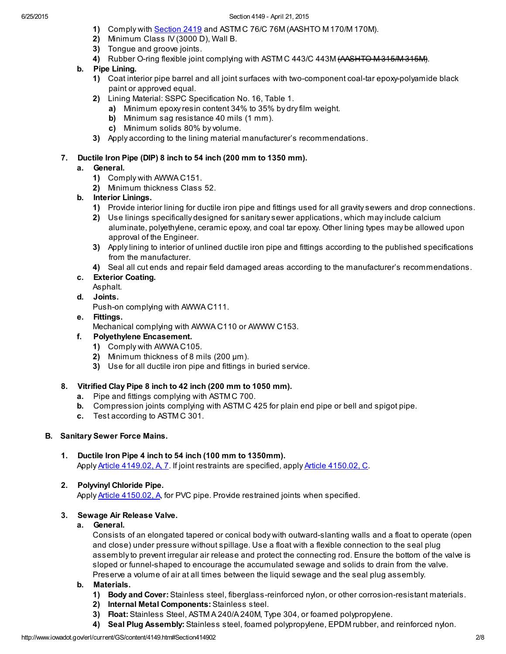- 1) Comply with [Section](http://www.iowadot.gov/erl/current/GS/content/2419.htm) 2419 and ASTM C 76/C 76M (AASHTO M 170/M 170M).
- 2) Minimum Class IV (3000 D), Wall B.
- 3) Tongue and groove joints.
- 4) Rubber O-ring flexible joint complying with ASTM C 443/C 443M (AASHTO M315/M315M).
- b. Pipe Lining.
	- 1) Coat interior pipe barrel and all joint surfaces with two-component coal-tar epoxy-polyamide black paint or approved equal.
	- 2) Lining Material: SSPC Specification No. 16, Table 1.
		- a) Minimum epoxy resin content 34% to 35% by dry film weight.
		- b) Minimum sag resistance 40 mils (1 mm).
		- c) Minimum solids 80% by volume.
	- 3) Apply according to the lining material manufacturer's recommendations.

## 7. Ductile Iron Pipe (DIP) 8 inch to 54 inch (200 mm to 1350 mm).

## a. General.

- 1) Comply with AWWA C151.
- 2) Minimum thickness Class 52.
- b. Interior Linings.
	- 1) Provide interior lining for ductile iron pipe and fittings used for all gravity sewers and drop connections.
	- 2) Use linings specifically designed for sanitary sewer applications, which may include calcium aluminate, polyethylene, ceramic epoxy, and coal tar epoxy. Other lining types may be allowed upon approval of the Engineer.
	- 3) Apply lining to interior of unlined ductile iron pipe and fittings according to the published specifications from the manufacturer.
	- 4) Seal all cut ends and repair field damaged areas according to the manufacturer's recommendations.

# c. Exterior Coating.

Asphalt.

d. Joints.

Push-on complying with AWWA C111.

## e. Fittings.

Mechanical complying with AWWA C110 or AWWW C153.

## f. Polyethylene Encasement.

- 1) Comply with AWWA C105.
- 2) Minimum thickness of 8 mils (200 µm).
- 3) Use for all ductile iron pipe and fittings in buried service.

## 8. Vitrified Clay Pipe 8 inch to 42 inch (200 mm to 1050 mm).

- a. Pipe and fittings complying with ASTM C 700.
- b. Compression joints complying with ASTM C 425 for plain end pipe or bell and spigot pipe.
- c. Test according to ASTM C 301.

# B. Sanitary Sewer Force Mains.

## 1. Ductile Iron Pipe 4 inch to 54 inch (100 mm to 1350mm). Apply Article 4149.02, A, 7. If joint restraints are specified, apply Article [4150.02,](http://www.iowadot.gov/erl/current/GS/content/4150.htm#Section415002C) C.

# 2. Polyvinyl Chloride Pipe.

Apply **Article [4150.02,](http://www.iowadot.gov/erl/current/GS/content/4150.htm#Section415002A) A**, for PVC pipe. Provide restrained joints when specified.

## 3. Sewage Air Release Valve.

## a. General.

Consists of an elongated tapered or conical body with outward-slanting walls and a float to operate (open and close) under pressure without spillage. Use a float with a flexible connection to the seal plug assembly to prevent irregular air release and protect the connecting rod. Ensure the bottom of the valve is sloped or funnel-shaped to encourage the accumulated sewage and solids to drain from the valve. Preserve a volume of air at all times between the liquid sewage and the seal plug assembly.

## b. Materials.

- 1) Body and Cover: Stainless steel, fiberglass-reinforced nylon, or other corrosion-resistant materials.
- 2) Internal Metal Components: Stainless steel.
- 3) Float: Stainless Steel, ASTM A 240/A 240M, Type 304, or foamed polypropylene.
- 4) Seal Plug Assembly: Stainless steel, foamed polypropylene, EPDM rubber, and reinforced nylon.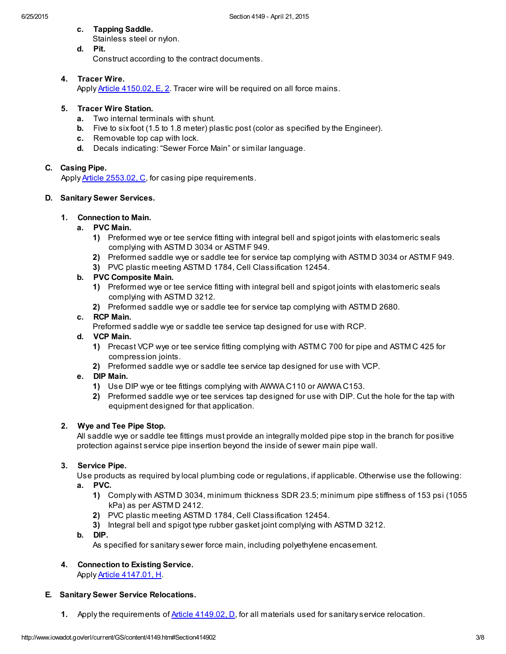c. Tapping Saddle.

Stainless steel or nylon. d. Pit.

Construct according to the contract documents.

## 4. Tracer Wire.

Apply Article [4150.02,](http://www.iowadot.gov/erl/current/GS/content/4150.htm#Section415002E) E, 2. Tracer wire will be required on all force mains.

## 5. Tracer Wire Station.

- a. Two internal terminals with shunt.
- b. Five to six foot (1.5 to 1.8 meter) plastic post (color as specified by the Engineer).
- c. Removable top cap with lock.
- d. Decals indicating: "Sewer Force Main" or similar language.

## C. Casing Pipe.

Apply **Article [2553.02,](http://www.iowadot.gov/erl/current/GS/content/2553.htm#Section255302C) C**, for casing pipe requirements.

## D. Sanitary Sewer Services.

## 1. Connection to Main.

#### a. PVC Main.

- 1) Preformed wye or tee service fitting with integral bell and spigot joints with elastomeric seals complying with ASTM D 3034 or ASTM F 949.
- 2) Preformed saddle wye or saddle tee for service tap complying with ASTM D 3034 or ASTM F 949.
- 3) PVC plastic meeting ASTM D 1784, Cell Classification 12454.

## b. PVC Composite Main.

- 1) Preformed wye or tee service fitting with integral bell and spigot joints with elastomeric seals complying with ASTM D 3212.
- 2) Preformed saddle wye or saddle tee for service tap complying with ASTM D 2680.

## c. RCP Main.

Preformed saddle wye or saddle tee service tap designed for use with RCP.

#### d. VCP Main.

- 1) Precast VCP wye or tee service fitting complying with ASTM C 700 for pipe and ASTM C 425 for compression joints.
- 2) Preformed saddle wye or saddle tee service tap designed for use with VCP.

#### e. DIP Main.

- 1) Use DIP wye or tee fittings complying with AWWA C110 or AWWA C153.
- 2) Preformed saddle wye or tee services tap designed for use with DIP. Cut the hole for the tap with equipment designed for that application.

#### 2. Wye and Tee Pipe Stop.

All saddle wye or saddle tee fittings must provide an integrally molded pipe stop in the branch for positive protection against service pipe insertion beyond the inside of sewer main pipe wall.

## 3. Service Pipe.

Use products as required by local plumbing code or regulations, if applicable. Otherwise use the following: a. PVC.

- 1) Comply with ASTM D 3034, minimum thickness SDR 23.5; minimum pipe stiffness of 153 psi (1055 kPa) as per ASTM D 2412.
- 2) PVC plastic meeting ASTM D 1784, Cell Classification 12454.
- 3) Integral bell and spigot type rubber gasket joint complying with ASTM D 3212.
- b. DIP.

As specified for sanitary sewer force main, including polyethylene encasement.

# 4. Connection to Existing Service.

Apply Article [4147.01,](http://www.iowadot.gov/erl/current/GS/content/4147.htm#Section414701H) H.

## E. Sanitary Sewer Service Relocations.

1. Apply the requirements of Article 4149.02, D, for all materials used for sanitary service relocation.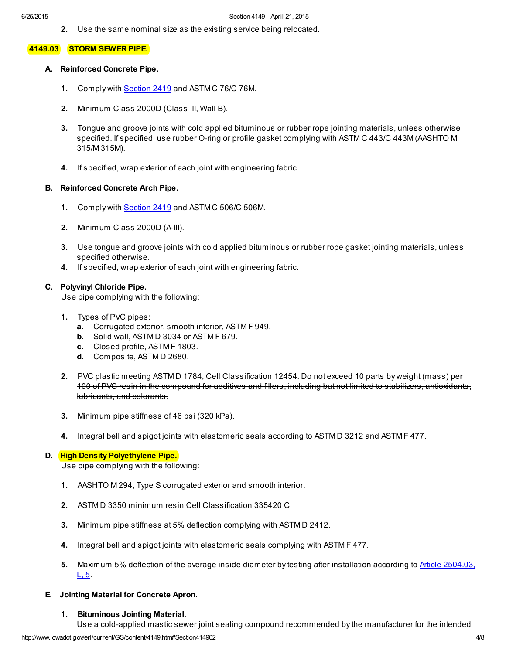2. Use the same nominal size as the existing service being relocated.

#### 4149.03 STORM SEWER PIPE.

#### A. Reinforced Concrete Pipe.

- 1. Comply with [Section](http://www.iowadot.gov/erl/current/GS/content/2419.htm) 2419 and ASTM C 76/C 76M.
- 2. Minimum Class 2000D (Class III, Wall B).
- 3. Tongue and groove joints with cold applied bituminous or rubber rope jointing materials, unless otherwise specified. If specified, use rubber O-ring or profile gasket complying with ASTM C 443/C 443M (AASHTO M 315/M 315M).
- 4. If specified, wrap exterior of each joint with engineering fabric.

#### B. Reinforced Concrete Arch Pipe.

- 1. Comply with [Section](http://www.iowadot.gov/erl/current/GS/content/2419.htm) 2419 and ASTM C 506/C 506M.
- 2. Minimum Class 2000D (A-III).
- 3. Use tongue and groove joints with cold applied bituminous or rubber rope gasket jointing materials, unless specified otherwise.
- 4. If specified, wrap exterior of each joint with engineering fabric.

#### C. Polyvinyl Chloride Pipe.

Use pipe complying with the following:

- 1. Types of PVC pipes:
	- a. Corrugated exterior, smooth interior, ASTM F 949.
	- b. Solid wall, ASTM D 3034 or ASTM F 679.
	- c. Closed profile, ASTM F 1803.
	- d. Composite, ASTM D 2680.
- 2. PVC plastic meeting ASTM D 1784, Cell Classification 12454. Do not exceed 10 parts by weight (mass 100 of PVC resin in the compound for additives and fillers, including but not limited to stabilizers, antioxidants, lubricants, and colorants.
- 3. Minimum pipe stiffness of 46 psi (320 kPa).
- 4. Integral bell and spigot joints with elastomeric seals according to ASTM D 3212 and ASTM F 477.

#### D. High Density Polyethylene Pipe.

Use pipe complying with the following:

- 1. AASHTO M 294, Type S corrugated exterior and smooth interior.
- 2. ASTM D 3350 minimum resin Cell Classification 335420 C.
- 3. Minimum pipe stiffness at 5% deflection complying with ASTM D 2412.
- 4. Integral bell and spigot joints with elastomeric seals complying with ASTM F 477.
- 5. Maximum 5% deflection of the average inside diameter by testing after [installation](http://www.iowadot.gov/erl/current/GS/content/2504.htm#Section250403L) according to Article 2504.03,  $L, 5.$

#### E. Jointing Material for Concrete Apron.

#### 1. Bituminous Jointing Material.

Use a cold-applied mastic sewer joint sealing compound recommended by the manufacturer for the intended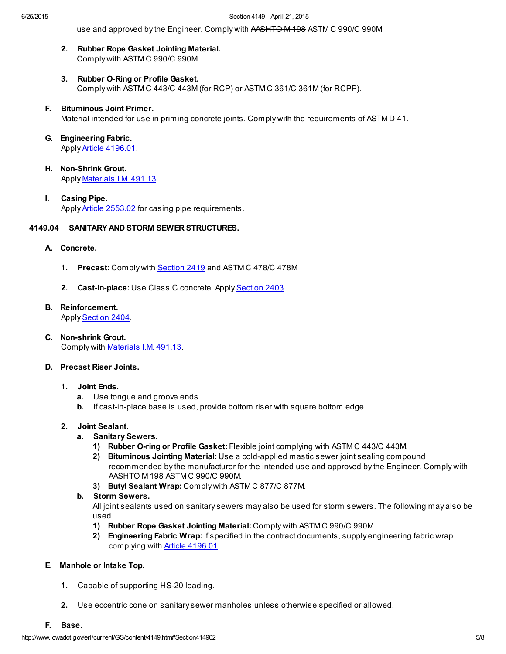use and approved by the Engineer. Comply with AASHTO M 198 ASTM C 990/C 990M.

- 2. Rubber Rope Gasket Jointing Material. Comply with ASTM C 990/C 990M.
- 3. Rubber O-Ring or Profile Gasket. Comply with ASTM C 443/C 443M (for RCP) or ASTM C 361/C 361M (for RCPP).
- F. Bituminous Joint Primer. Material intended for use in priming concrete joints. Comply with the requirements of ASTM D 41.
- G. Engineering Fabric. Apply Article [4196.01](http://www.iowadot.gov/erl/current/GS/content/4196.htm#Section419601).
- H. Non-Shrink Grout. Apply [Materials](http://www.iowadot.gov/erl/current/IM/content/491.13.htm) I.M. 491.13.
- I. Casing Pipe. Apply **Article [2553.02](http://www.iowadot.gov/erl/current/GS/content/2553.htm#Section255302)** for casing pipe requirements.

## 4149.04 SANITARY AND STORM SEWER STRUCTURES.

- A. Concrete.
	- 1. Precast: Comply with [Section](http://www.iowadot.gov/erl/current/GS/content/2419.htm) 2419 and ASTM C 478/C 478M
	- 2. Cast-in-place: Use Class C concrete. Apply [Section](http://www.iowadot.gov/erl/current/GS/content/2403.htm) 2403.

## B. Reinforcement.

Apply [Section](http://www.iowadot.gov/erl/current/GS/content/2404.htm) 2404.

C. Non-shrink Grout. Comply with [Materials](http://www.iowadot.gov/erl/current/IM/content/491.13.htm) I.M. 491.13.

#### D. Precast Riser Joints.

- 1. Joint Ends.
	- a. Use tongue and groove ends.
	- b. If cast-in-place base is used, provide bottom riser with square bottom edge.

#### 2. Joint Sealant.

- a. Sanitary Sewers.
	- 1) Rubber O-ring or Profile Gasket: Flexible joint complying with ASTM C 443/C 443M.
	- 2) Bituminous Jointing Material: Use a cold-applied mastic sewer joint sealing compound recommended by the manufacturer for the intended use and approved by the Engineer. Comply with AASHTO M 198 ASTM C 990/C 990M.
	- 3) Butyl Sealant Wrap: Comply with ASTM C 877/C 877M.

#### b. Storm Sewers.

All joint sealants used on sanitary sewers may also be used for storm sewers. The following may also be used.

- 1) Rubber Rope Gasket Jointing Material: Comply with ASTM C 990/C 990M.
- 2) Engineering Fabric Wrap: If specified in the contract documents, supply engineering fabric wrap complying with Article [4196.01.](http://www.iowadot.gov/erl/current/GS/content/4196.htm#Section419601)

#### E. Manhole or Intake Top.

- 1. Capable of supporting HS-20 loading.
- 2. Use eccentric cone on sanitary sewer manholes unless otherwise specified or allowed.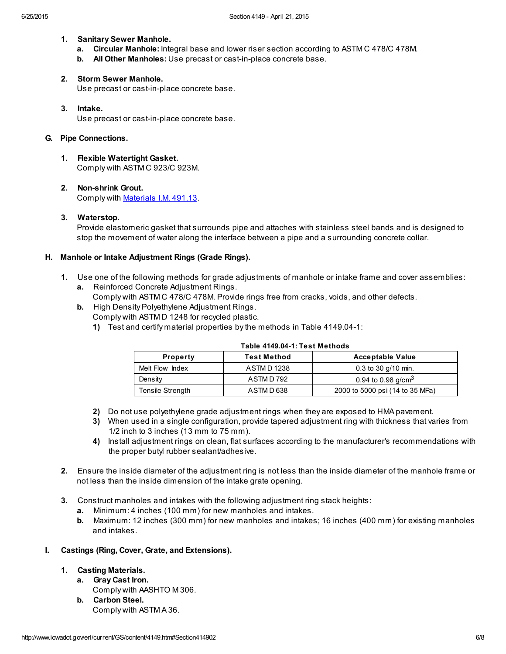#### 1. Sanitary Sewer Manhole.

- a. Circular Manhole: Integral base and lower riser section according to ASTM C 478/C 478M.
- b. All Other Manholes: Use precast or cast-in-place concrete base.

# 2. Storm Sewer Manhole.

Use precast or cast-in-place concrete base.

3. Intake. Use precast or cast-in-place concrete base.

#### G. Pipe Connections.

- 1. Flexible Watertight Gasket. Comply with ASTM C 923/C 923M.
- 2. Non-shrink Grout. Comply with [Materials](http://www.iowadot.gov/erl/current/IM/content/491.13.htm) I.M. 491.13.

## 3. Waterstop.

Provide elastomeric gasket that surrounds pipe and attaches with stainless steel bands and is designed to stop the movement of water along the interface between a pipe and a surrounding concrete collar.

#### H. Manhole or Intake Adjustment Rings (Grade Rings).

- 1. Use one of the following methods for grade adjustments of manhole or intake frame and cover assemblies:
	- a. Reinforced Concrete Adjustment Rings. Comply with ASTM C 478/C 478M. Provide rings free from cracks, voids, and other defects.
	- b. High Density Polyethylene Adjustment Rings. Comply with ASTM D 1248 for recycled plastic.
		- 1) Test and certify material properties by the methods in Table 4149.04-1:

| <b>Property</b>  | <b>Test Method</b> | <b>Acceptable Value</b>         |
|------------------|--------------------|---------------------------------|
| Melt Flow Index  | <b>ASTMD1238</b>   | $0.3$ to 30 g/10 min.           |
| Density          | ASTMD 792          | 0.94 to 0.98 $g/cm3$            |
| Tensile Strength | ASTMD 638          | 2000 to 5000 psi (14 to 35 MPa) |

#### Table 4149.04-1: Test Methods

- 2) Do not use polyethylene grade adjustment rings when they are exposed to HMA pavement.
- 3) When used in a single configuration, provide tapered adjustment ring with thickness that varies from 1/2 inch to 3 inches (13 mm to 75 mm).
- 4) Install adjustment rings on clean, flat surfaces according to the manufacturer's recommendations with the proper butyl rubber sealant/adhesive.
- 2. Ensure the inside diameter of the adjustment ring is not less than the inside diameter of the manhole frame or not less than the inside dimension of the intake grate opening.
- 3. Construct manholes and intakes with the following adjustment ring stack heights:
	- a. Minimum: 4 inches (100 mm) for new manholes and intakes.
	- b. Maximum: 12 inches (300 mm) for new manholes and intakes; 16 inches (400 mm) for existing manholes and intakes.

#### I. Castings (Ring, Cover, Grate, and Extensions).

## 1. Casting Materials.

- a. Gray Cast Iron. Comply with AASHTO M 306.
- b. Carbon Steel. Comply with ASTM A 36.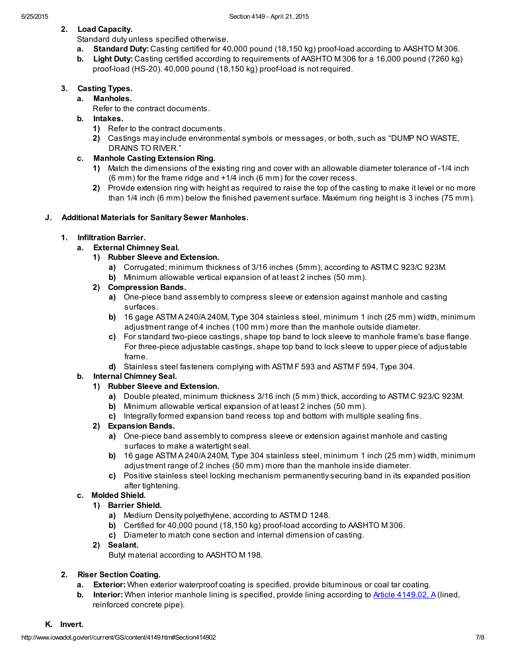# 2. Load Capacity.

Standard duty unless specified otherwise.

- a. Standard Duty: Casting certified for 40,000 pound (18,150 kg) proof-load according to AASHTO M 306.
- b. Light Duty: Casting certified according to requirements of AASHTO M 306 for a 16,000 pound (7260 kg) proof-load (HS-20). 40,000 pound (18,150 kg) proof-load is not required.

## 3. Casting Types.

## a. Manholes.

Refer to the contract documents.

- b. Intakes.
	- 1) Refer to the contract documents.
	- 2) Castings may include environmental symbols or messages, or both, such as "DUMP NO WASTE, DRAINS TO RIVER."

## c. Manhole Casting Extension Ring.

- 1) Match the dimensions of the existing ring and cover with an allowable diameter tolerance of -1/4 inch (6 mm) for the frame ridge and +1/4 inch (6 mm) for the cover recess.
- 2) Provide extension ring with height as required to raise the top of the casting to make it level or no more than 1/4 inch (6 mm) below the finished pavement surface. Maximum ring height is 3 inches (75 mm).

## J. Additional Materials for Sanitary Sewer Manholes.

## 1. Infiltration Barrier.

- a. External Chimney Seal.
	- 1) Rubber Sleeve and Extension.
		- a) Corrugated; minimum thickness of 3/16 inches (5mm), according to ASTM C 923/C 923M.
		- b) Minimum allowable vertical expansion of at least 2 inches (50 mm).
	- 2) Compression Bands.
		- a) One-piece band assembly to compress sleeve or extension against manhole and casting surfaces.
		- b) 16 gage ASTM A 240/A 240M, Type 304 stainless steel, minimum 1 inch (25 mm) width, minimum adjustment range of 4 inches (100 mm) more than the manhole outside diameter.
		- c) For standard two-piece castings, shape top band to lock sleeve to manhole frame's base flange. For three-piece adjustable castings, shape top band to lock sleeve to upper piece of adjustable frame.
		- d) Stainless steel fasteners complying with ASTM F 593 and ASTM F 594, Type 304.

## b. Internal Chimney Seal.

## 1) Rubber Sleeve and Extension.

- a) Double pleated, minimum thickness 3/16 inch (5 mm) thick, according to ASTM C 923/C 923M.
- b) Minimum allowable vertical expansion of at least 2 inches (50 mm).
- c) Integrally formed expansion band recess top and bottom with multiple sealing fins.

## 2) Expansion Bands.

- a) One-piece band assembly to compress sleeve or extension against manhole and casting surfaces to make a watertight seal.
- b) 16 gage ASTM A 240/A 240M, Type 304 stainless steel, minimum 1 inch (25 mm) width, minimum adjustment range of 2 inches (50 mm) more than the manhole inside diameter.
- c) Positive stainless steel locking mechanism permanently securing band in its expanded position after tightening.

## c. Molded Shield.

#### 1) Barrier Shield.

- a) Medium Density polyethylene, according to ASTM D 1248.
- b) Certified for 40,000 pound (18,150 kg) proof-load according to AASHTO M 306.
- c) Diameter to match cone section and internal dimension of casting.

## 2) Sealant.

Butyl material according to AASHTO M 198.

## 2. Riser Section Coating.

- a. Exterior: When exterior waterproof coating is specified, provide bituminous or coal tar coating.
- b. Interior: When interior manhole lining is specified, provide lining according to **Article 4149.02, A** (lined, reinforced concrete pipe).